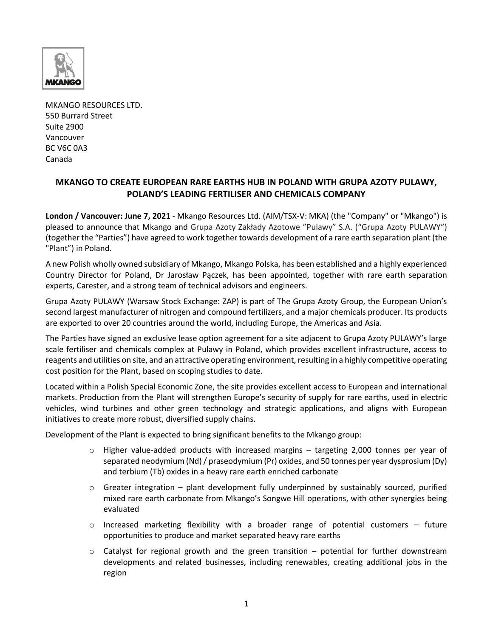

MKANGO RESOURCES LTD. 550 Burrard Street Suite 2900 Vancouver BC V6C 0A3 Canada

# **MKANGO TO CREATE EUROPEAN RARE EARTHS HUB IN POLAND WITH GRUPA AZOTY PULAWY, POLAND'S LEADING FERTILISER AND CHEMICALS COMPANY**

**London / Vancouver: June 7, 2021** - Mkango Resources Ltd. (AIM/TSX-V: MKA) (the "Company" or "Mkango") is pleased to announce that Mkango and Grupa Azoty Zakłady Azotowe "Pulawy" S.A. ("Grupa Azoty PULAWY") (together the "Parties") have agreed to work together towards development of a rare earth separation plant (the "Plant") in Poland.

A new Polish wholly owned subsidiary of Mkango, Mkango Polska, has been established and a highly experienced Country Director for Poland, Dr Jarosław Pączek, has been appointed, together with rare earth separation experts, Carester, and a strong team of technical advisors and engineers.

Grupa Azoty PULAWY (Warsaw Stock Exchange: ZAP) is part of The Grupa Azoty Group, the European Union's second largest manufacturer of nitrogen and compound fertilizers, and a major chemicals producer. Its products are exported to over 20 countries around the world, including Europe, the Americas and Asia.

The Parties have signed an exclusive lease option agreement for a site adjacent to Grupa Azoty PULAWY's large scale fertiliser and chemicals complex at Pulawy in Poland, which provides excellent infrastructure, access to reagents and utilities on site, and an attractive operating environment, resulting in a highly competitive operating cost position for the Plant, based on scoping studies to date.

Located within a Polish Special Economic Zone, the site provides excellent access to European and international markets. Production from the Plant will strengthen Europe's security of supply for rare earths, used in electric vehicles, wind turbines and other green technology and strategic applications, and aligns with European initiatives to create more robust, diversified supply chains.

Development of the Plant is expected to bring significant benefits to the Mkango group:

- $\circ$  Higher value-added products with increased margins targeting 2,000 tonnes per year of separated neodymium (Nd) / praseodymium (Pr) oxides, and 50 tonnes per year dysprosium (Dy) and terbium (Tb) oxides in a heavy rare earth enriched carbonate
- $\circ$  Greater integration plant development fully underpinned by sustainably sourced, purified mixed rare earth carbonate from Mkango's Songwe Hill operations, with other synergies being evaluated
- $\circ$  Increased marketing flexibility with a broader range of potential customers future opportunities to produce and market separated heavy rare earths
- $\circ$  Catalyst for regional growth and the green transition potential for further downstream developments and related businesses, including renewables, creating additional jobs in the region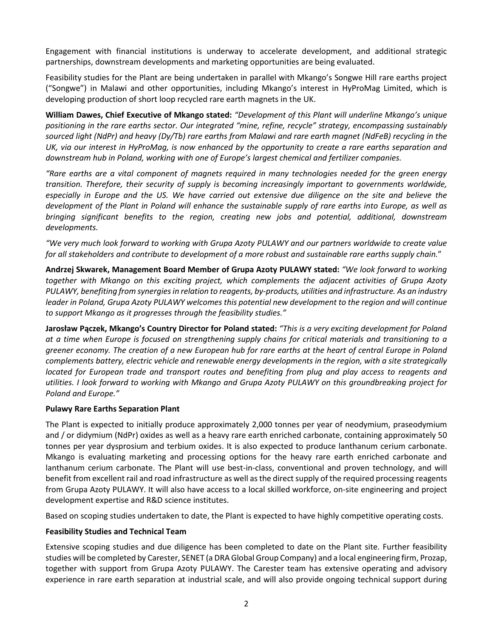Engagement with financial institutions is underway to accelerate development, and additional strategic partnerships, downstream developments and marketing opportunities are being evaluated.

Feasibility studies for the Plant are being undertaken in parallel with Mkango's Songwe Hill rare earths project ("Songwe") in Malawi and other opportunities, including Mkango's interest in HyProMag Limited, which is developing production of short loop recycled rare earth magnets in the UK.

**William Dawes, Chief Executive of Mkango stated:** *"Development of this Plant will underline Mkango's unique positioning in the rare earths sector. Our integrated "mine, refine, recycle" strategy, encompassing sustainably sourced light (NdPr) and heavy (Dy/Tb) rare earths from Malawi and rare earth magnet (NdFeB) recycling in the UK, via our interest in HyProMag, is now enhanced by the opportunity to create a rare earths separation and downstream hub in Poland, working with one of Europe's largest chemical and fertilizer companies.*

*"Rare earths are a vital component of magnets required in many technologies needed for the green energy transition. Therefore, their security of supply is becoming increasingly important to governments worldwide, especially in Europe and the US. We have carried out extensive due diligence on the site and believe the development of the Plant in Poland will enhance the sustainable supply of rare earths into Europe, as well as bringing significant benefits to the region, creating new jobs and potential, additional, downstream developments.*

*"We very much look forward to working with Grupa Azoty PULAWY and our partners worldwide to create value for all stakeholders and contribute to development of a more robust and sustainable rare earths supply chain.*"

**Andrzej Skwarek, Management Board Member of Grupa Azoty PULAWY stated:** *"We look forward to working together with Mkango on this exciting project, which complements the adjacent activities of Grupa Azoty PULAWY, benefiting from synergies in relation to reagents, by-products, utilities and infrastructure. As an industry leader in Poland, Grupa Azoty PULAWY welcomes this potential new development to the region and will continue to support Mkango as it progresses through the feasibility studies."*

**Jarosław Pączek, Mkango's Country Director for Poland stated:** *"This is a very exciting development for Poland at a time when Europe is focused on strengthening supply chains for critical materials and transitioning to a greener economy. The creation of a new European hub for rare earths at the heart of central Europe in Poland complements battery, electric vehicle and renewable energy developments in the region, with a site strategically located for European trade and transport routes and benefiting from plug and play access to reagents and utilities. I look forward to working with Mkango and Grupa Azoty PULAWY on this groundbreaking project for Poland and Europe."*

### **Pulawy Rare Earths Separation Plant**

The Plant is expected to initially produce approximately 2,000 tonnes per year of neodymium, praseodymium and / or didymium (NdPr) oxides as well as a heavy rare earth enriched carbonate, containing approximately 50 tonnes per year dysprosium and terbium oxides. It is also expected to produce lanthanum cerium carbonate. Mkango is evaluating marketing and processing options for the heavy rare earth enriched carbonate and lanthanum cerium carbonate. The Plant will use best-in-class, conventional and proven technology, and will benefit from excellent rail and road infrastructure as well as the direct supply of the required processing reagents from Grupa Azoty PULAWY. It will also have access to a local skilled workforce, on-site engineering and project development expertise and R&D science institutes.

Based on scoping studies undertaken to date, the Plant is expected to have highly competitive operating costs.

### **Feasibility Studies and Technical Team**

Extensive scoping studies and due diligence has been completed to date on the Plant site. Further feasibility studies will be completed by Carester, SENET (a DRA Global Group Company) and a local engineering firm, Prozap, together with support from Grupa Azoty PULAWY. The Carester team has extensive operating and advisory experience in rare earth separation at industrial scale, and will also provide ongoing technical support during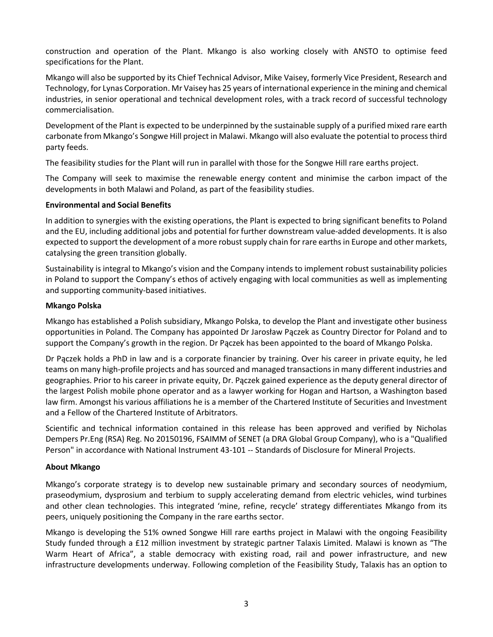construction and operation of the Plant. Mkango is also working closely with ANSTO to optimise feed specifications for the Plant.

Mkango will also be supported by its Chief Technical Advisor, Mike Vaisey, formerly Vice President, Research and Technology, for Lynas Corporation. Mr Vaisey has 25 years of international experience in the mining and chemical industries, in senior operational and technical development roles, with a track record of successful technology commercialisation.

Development of the Plant is expected to be underpinned by the sustainable supply of a purified mixed rare earth carbonate from Mkango's Songwe Hill project in Malawi. Mkango will also evaluate the potential to process third party feeds.

The feasibility studies for the Plant will run in parallel with those for the Songwe Hill rare earths project.

The Company will seek to maximise the renewable energy content and minimise the carbon impact of the developments in both Malawi and Poland, as part of the feasibility studies.

### **Environmental and Social Benefits**

In addition to synergies with the existing operations, the Plant is expected to bring significant benefits to Poland and the EU, including additional jobs and potential for further downstream value-added developments. It is also expected to support the development of a more robust supply chain for rare earths in Europe and other markets, catalysing the green transition globally.

Sustainability is integral to Mkango's vision and the Company intends to implement robust sustainability policies in Poland to support the Company's ethos of actively engaging with local communities as well as implementing and supporting community-based initiatives.

### **Mkango Polska**

Mkango has established a Polish subsidiary, Mkango Polska, to develop the Plant and investigate other business opportunities in Poland. The Company has appointed Dr Jarosław Pączek as Country Director for Poland and to support the Company's growth in the region. Dr Pączek has been appointed to the board of Mkango Polska.

Dr Pączek holds a PhD in law and is a corporate financier by training. Over his career in private equity, he led teams on many high-profile projects and hassourced and managed transactions in many different industries and geographies. Prior to his career in private equity, Dr. Pączek gained experience as the deputy general director of the largest Polish mobile phone operator and as a lawyer working for Hogan and Hartson, a Washington based law firm. Amongst his various affiliations he is a member of the Chartered Institute of Securities and Investment and a Fellow of the Chartered Institute of Arbitrators.

Scientific and technical information contained in this release has been approved and verified by Nicholas Dempers Pr.Eng (RSA) Reg. No 20150196, FSAIMM of SENET (a DRA Global Group Company), who is a "Qualified Person" in accordance with National Instrument 43-101 -- Standards of Disclosure for Mineral Projects.

## **About Mkango**

Mkango's corporate strategy is to develop new sustainable primary and secondary sources of neodymium, praseodymium, dysprosium and terbium to supply accelerating demand from electric vehicles, wind turbines and other clean technologies. This integrated 'mine, refine, recycle' strategy differentiates Mkango from its peers, uniquely positioning the Company in the rare earths sector.

Mkango is developing the 51% owned Songwe Hill rare earths project in Malawi with the ongoing Feasibility Study funded through a £12 million investment by strategic partner Talaxis Limited. Malawi is known as "The Warm Heart of Africa", a stable democracy with existing road, rail and power infrastructure, and new infrastructure developments underway. Following completion of the Feasibility Study, Talaxis has an option to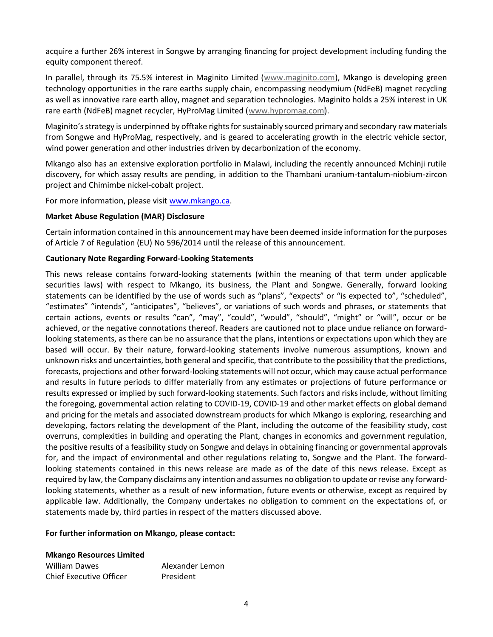acquire a further 26% interest in Songwe by arranging financing for project development including funding the equity component thereof.

In parallel, through its 75.5% interest in Maginito Limited [\(www.maginito.com\)](http://www.maginito.com/), Mkango is developing green technology opportunities in the rare earths supply chain, encompassing neodymium (NdFeB) magnet recycling as well as innovative rare earth alloy, magnet and separation technologies. Maginito holds a 25% interest in UK rare earth (NdFeB) magnet recycler, HyProMag Limited [\(www.hypromag.com\)](http://www.hypromag.com/).

Maginito's strategy is underpinned by offtake rights for sustainably sourced primary and secondary raw materials from Songwe and HyProMag, respectively, and is geared to accelerating growth in the electric vehicle sector, wind power generation and other industries driven by decarbonization of the economy.

Mkango also has an extensive exploration portfolio in Malawi, including the recently announced Mchinji rutile discovery, for which assay results are pending, in addition to the Thambani uranium-tantalum-niobium-zircon project and Chimimbe nickel-cobalt project.

For more information, please visit [www.mkango.ca.](about:blank)

#### **Market Abuse Regulation (MAR) Disclosure**

Certain information contained in this announcement may have been deemed inside information for the purposes of Article 7 of Regulation (EU) No 596/2014 until the release of this announcement.

#### **Cautionary Note Regarding Forward-Looking Statements**

This news release contains forward-looking statements (within the meaning of that term under applicable securities laws) with respect to Mkango, its business, the Plant and Songwe. Generally, forward looking statements can be identified by the use of words such as "plans", "expects" or "is expected to", "scheduled", "estimates" "intends", "anticipates", "believes", or variations of such words and phrases, or statements that certain actions, events or results "can", "may", "could", "would", "should", "might" or "will", occur or be achieved, or the negative connotations thereof. Readers are cautioned not to place undue reliance on forwardlooking statements, as there can be no assurance that the plans, intentions or expectations upon which they are based will occur. By their nature, forward-looking statements involve numerous assumptions, known and unknown risks and uncertainties, both general and specific, that contribute to the possibility that the predictions, forecasts, projections and other forward-looking statements will not occur, which may cause actual performance and results in future periods to differ materially from any estimates or projections of future performance or results expressed or implied by such forward-looking statements. Such factors and risks include, without limiting the foregoing, governmental action relating to COVID-19, COVID-19 and other market effects on global demand and pricing for the metals and associated downstream products for which Mkango is exploring, researching and developing, factors relating the development of the Plant, including the outcome of the feasibility study, cost overruns, complexities in building and operating the Plant, changes in economics and government regulation, the positive results of a feasibility study on Songwe and delays in obtaining financing or governmental approvals for, and the impact of environmental and other regulations relating to, Songwe and the Plant. The forwardlooking statements contained in this news release are made as of the date of this news release. Except as required by law, the Company disclaims any intention and assumes no obligation to update or revise any forwardlooking statements, whether as a result of new information, future events or otherwise, except as required by applicable law. Additionally, the Company undertakes no obligation to comment on the expectations of, or statements made by, third parties in respect of the matters discussed above.

### **For further information on Mkango, please contact:**

#### **Mkango Resources Limited**

| <b>William Dawes</b>    | Alexander Lemon |
|-------------------------|-----------------|
| Chief Executive Officer | President       |